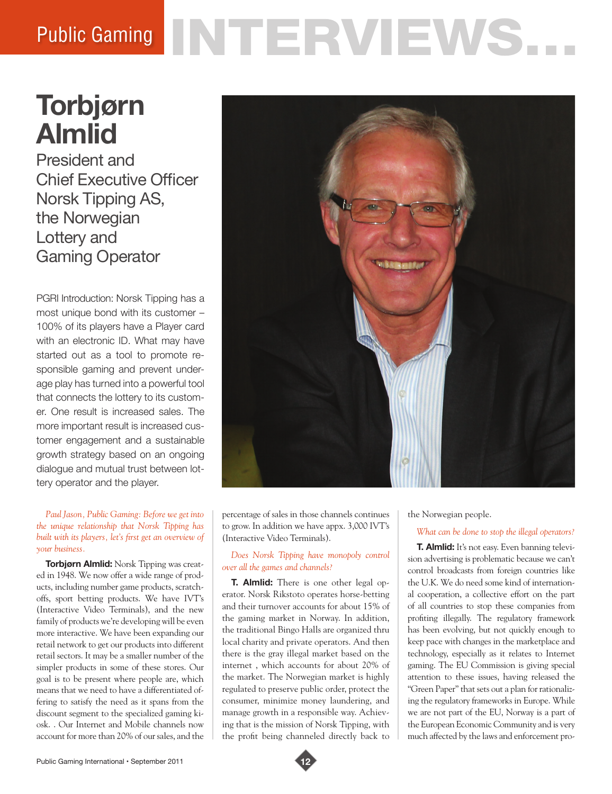# Public Gaming NTERVIEWS.

# **Torbjørn Almlid**

President and Chief Executive Officer Norsk Tipping AS, the Norwegian Lottery and Gaming Operator

PGRI Introduction: Norsk Tipping has a most unique bond with its customer – 100% of its players have a Player card with an electronic ID. What may have started out as a tool to promote responsible gaming and prevent underage play has turned into a powerful tool that connects the lottery to its customer. One result is increased sales. The more important result is increased customer engagement and a sustainable growth strategy based on an ongoing dialogue and mutual trust between lottery operator and the player.

*Paul Jason, Public Gaming: Before we get into the unique relationship that Norsk Tipping has built with its players, let's first get an overview of your business.* 

**Torbjørn Almlid:** Norsk Tipping was created in 1948. We now offer a wide range of products, including number game products, scratchoffs, sport betting products. We have IVT's (Interactive Video Terminals), and the new family of products we're developing will be even more interactive. We have been expanding our retail network to get our products into different retail sectors. It may be a smaller number of the simpler products in some of these stores. Our goal is to be present where people are, which means that we need to have a differentiated offering to satisfy the need as it spans from the discount segment to the specialized gaming kiosk. . Our Internet and Mobile channels now account for more than 20% of our sales, and the



percentage of sales in those channels continues to grow. In addition we have appx. 3,000 IVT's (Interactive Video Terminals).

*Does Norsk Tipping have monopoly control over all the games and channels?* 

**T. Almlid:** There is one other legal operator. Norsk Rikstoto operates horse-betting and their turnover accounts for about 15% of the gaming market in Norway. In addition, the traditional Bingo Halls are organized thru local charity and private operators. And then there is the gray illegal market based on the internet , which accounts for about 20% of the market. The Norwegian market is highly regulated to preserve public order, protect the consumer, minimize money laundering, and manage growth in a responsible way. Achieving that is the mission of Norsk Tipping, with the profit being channeled directly back to

the Norwegian people.

# *What can be done to stop the illegal operators?*

**T. Almlid:** It's not easy. Even banning television advertising is problematic because we can't control broadcasts from foreign countries like the U.K. We do need some kind of international cooperation, a collective effort on the part of all countries to stop these companies from profiting illegally. The regulatory framework has been evolving, but not quickly enough to keep pace with changes in the marketplace and technology, especially as it relates to Internet gaming. The EU Commission is giving special attention to these issues, having released the "Green Paper" that sets out a plan for rationalizing the regulatory frameworks in Europe. While we are not part of the EU, Norway is a part of the European Economic Community and is very much affected by the laws and enforcement pro-

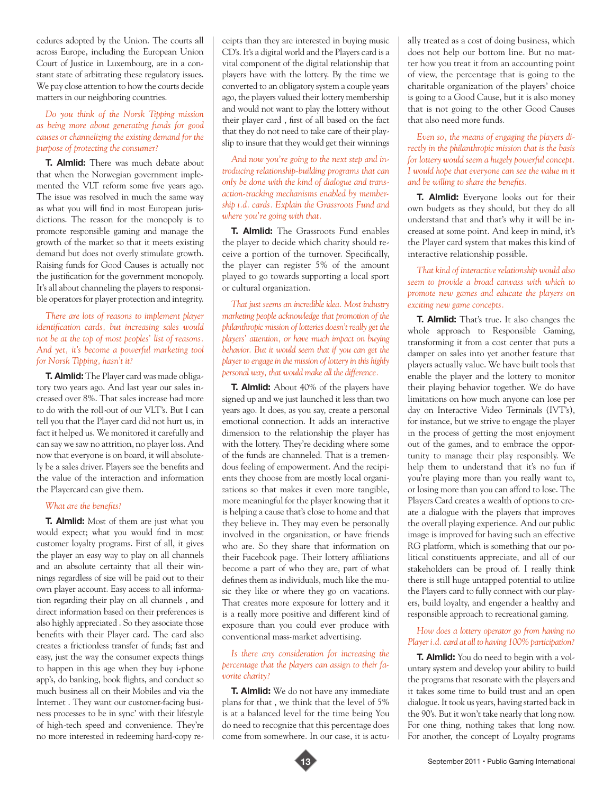cedures adopted by the Union. The courts all across Europe, including the European Union Court of Justice in Luxembourg, are in a constant state of arbitrating these regulatory issues. We pay close attention to how the courts decide matters in our neighboring countries.

## *Do you think of the Norsk Tipping mission as being more about generating funds for good causes or channelizing the existing demand for the purpose of protecting the consumer?*

**T. Almlid:** There was much debate about that when the Norwegian government implemented the VLT reform some five years ago. The issue was resolved in much the same way as what you will find in most European jurisdictions. The reason for the monopoly is to promote responsible gaming and manage the growth of the market so that it meets existing demand but does not overly stimulate growth. Raising funds for Good Causes is actually not the justification for the government monopoly. It's all about channeling the players to responsible operators for player protection and integrity.

## *There are lots of reasons to implement player identification cards, but increasing sales would not be at the top of most peoples' list of reasons. And yet, it's become a powerful marketing tool for Norsk Tipping, hasn't it?*

**T. Almlid:** The Player card was made obligatory two years ago. And last year our sales increased over 8%. That sales increase had more to do with the roll-out of our VLT's. But I can tell you that the Player card did not hurt us, in fact it helped us. We monitored it carefully and can say we saw no attrition, no player loss. And now that everyone is on board, it will absolutely be a sales driver. Players see the benefits and the value of the interaction and information the Playercard can give them.

#### *What are the benefits?*

**T. Almlid:** Most of them are just what you would expect; what you would find in most customer loyalty programs. First of all, it gives the player an easy way to play on all channels and an absolute certainty that all their winnings regardless of size will be paid out to their own player account. Easy access to all information regarding their play on all channels , and direct information based on their preferences is also highly appreciated . So they associate those benefits with their Player card. The card also creates a frictionless transfer of funds; fast and easy, just the way the consumer expects things to happen in this age when they buy i-phone app's, do banking, book flights, and conduct so much business all on their Mobiles and via the Internet . They want our customer-facing business processes to be in sync' with their lifestyle of high-tech speed and convenience. They're no more interested in redeeming hard-copy receipts than they are interested in buying music CD's. It's a digital world and the Players card is a vital component of the digital relationship that players have with the lottery. By the time we converted to an obligatory system a couple years ago, the players valued their lottery membership and would not want to play the lottery without their player card , first of all based on the fact that they do not need to take care of their playslip to insure that they would get their winnings

*And now you're going to the next step and introducing relationship-building programs that can only be done with the kind of dialogue and transaction-tracking mechanisms enabled by membership i.d. cards. Explain the Grassroots Fund and where you're going with that.* 

**T. Almlid:** The Grassroots Fund enables the player to decide which charity should receive a portion of the turnover. Specifically, the player can register 5% of the amount played to go towards supporting a local sport or cultural organization.

*That just seems an incredible idea. Most industry marketing people acknowledge that promotion of the philanthropic mission of lotteries doesn't really get the players' attention, or have much impact on buying behavior. But it would seem that if you can get the player to engage in the mission of lottery in this highly personal way, that would make all the difference.* 

**T. Almlid:** About 40% of the players have signed up and we just launched it less than two years ago. It does, as you say, create a personal emotional connection. It adds an interactive dimension to the relationship the player has with the lottery. They're deciding where some of the funds are channeled. That is a tremendous feeling of empowerment. And the recipients they choose from are mostly local organizations so that makes it even more tangible, more meaningful for the player knowing that it is helping a cause that's close to home and that they believe in. They may even be personally involved in the organization, or have friends who are. So they share that information on their Facebook page. Their lottery affiliations become a part of who they are, part of what defines them as individuals, much like the music they like or where they go on vacations. That creates more exposure for lottery and it is a really more positive and different kind of exposure than you could ever produce with conventional mass-market advertising.

#### *Is there any consideration for increasing the percentage that the players can assign to their favorite charity?*

**T. Almlid:** We do not have any immediate plans for that , we think that the level of 5% is at a balanced level for the time being You do need to recognize that this percentage does come from somewhere. In our case, it is actually treated as a cost of doing business, which does not help our bottom line. But no matter how you treat it from an accounting point of view, the percentage that is going to the charitable organization of the players' choice is going to a Good Cause, but it is also money that is not going to the other Good Causes that also need more funds.

*Even so, the means of engaging the players directly in the philanthropic mission that is the basis for lottery would seem a hugely powerful concept. I would hope that everyone can see the value in it and be willing to share the benefits.* 

**T. Almlid:** Everyone looks out for their own budgets as they should, but they do all understand that and that's why it will be increased at some point. And keep in mind, it's the Player card system that makes this kind of interactive relationship possible.

#### *That kind of interactive relationship would also seem to provide a broad canvass with which to promote new games and educate the players on exciting new game concepts.*

**T. Almlid:** That's true. It also changes the whole approach to Responsible Gaming, transforming it from a cost center that puts a damper on sales into yet another feature that players actually value. We have built tools that enable the player and the lottery to monitor their playing behavior together. We do have limitations on how much anyone can lose per day on Interactive Video Terminals (IVT's), for instance, but we strive to engage the player in the process of getting the most enjoyment out of the games, and to embrace the opportunity to manage their play responsibly. We help them to understand that it's no fun if you're playing more than you really want to, or losing more than you can afford to lose. The Players Card creates a wealth of options to create a dialogue with the players that improves the overall playing experience. And our public image is improved for having such an effective RG platform, which is something that our political constituents appreciate, and all of our stakeholders can be proud of. I really think there is still huge untapped potential to utilize the Players card to fully connect with our players, build loyalty, and engender a healthy and responsible approach to recreational gaming.

#### *How does a lottery operator go from having no Player i.d. card at all to having 100% participation?*

**T. Almlid:** You do need to begin with a voluntary system and develop your ability to build the programs that resonate with the players and it takes some time to build trust and an open dialogue. It took us years, having started back in the 90's. But it won't take nearly that long now. For one thing, nothing takes that long now. For another, the concept of Loyalty programs